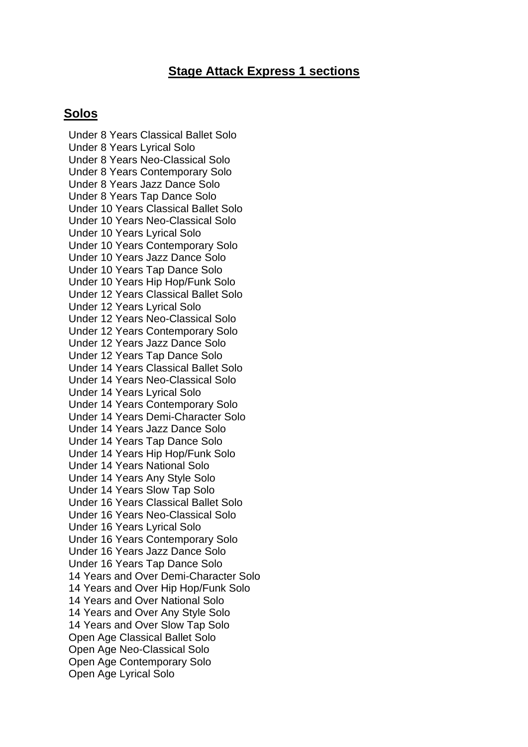## **Stage Attack Express 1 sections**

## **Solos**

Under 8 Years Classical Ballet Solo Under 8 Years Lyrical Solo Under 8 Years Neo-Classical Solo Under 8 Years Contemporary Solo Under 8 Years Jazz Dance Solo Under 8 Years Tap Dance Solo Under 10 Years Classical Ballet Solo Under 10 Years Neo-Classical Solo Under 10 Years Lyrical Solo Under 10 Years Contemporary Solo Under 10 Years Jazz Dance Solo Under 10 Years Tap Dance Solo Under 10 Years Hip Hop/Funk Solo Under 12 Years Classical Ballet Solo Under 12 Years Lyrical Solo Under 12 Years Neo-Classical Solo Under 12 Years Contemporary Solo Under 12 Years Jazz Dance Solo Under 12 Years Tap Dance Solo Under 14 Years Classical Ballet Solo Under 14 Years Neo-Classical Solo Under 14 Years Lyrical Solo Under 14 Years Contemporary Solo Under 14 Years Demi-Character Solo Under 14 Years Jazz Dance Solo Under 14 Years Tap Dance Solo Under 14 Years Hip Hop/Funk Solo Under 14 Years National Solo Under 14 Years Any Style Solo Under 14 Years Slow Tap Solo Under 16 Years Classical Ballet Solo Under 16 Years Neo-Classical Solo Under 16 Years Lyrical Solo Under 16 Years Contemporary Solo Under 16 Years Jazz Dance Solo Under 16 Years Tap Dance Solo 14 Years and Over Demi-Character Solo 14 Years and Over Hip Hop/Funk Solo 14 Years and Over National Solo 14 Years and Over Any Style Solo 14 Years and Over Slow Tap Solo Open Age Classical Ballet Solo Open Age Neo-Classical Solo Open Age Contemporary Solo Open Age Lyrical Solo